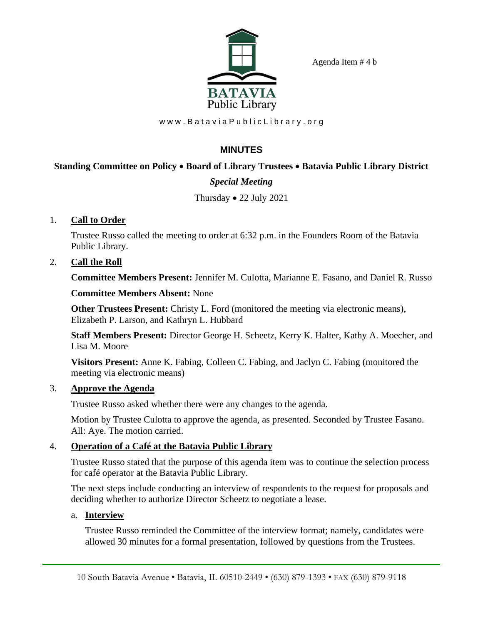Agenda Item # 4 b



www.BataviaPublicLibrary.org

# **MINUTES**

## **Standing Committee on Policy** • **Board of Library Trustees** • **Batavia Public Library District**

## *Special Meeting*

## Thursday • 22 July 2021

#### 1. **Call to Order**

Trustee Russo called the meeting to order at 6:32 p.m. in the Founders Room of the Batavia Public Library.

### 2. **Call the Roll**

**Committee Members Present:** Jennifer M. Culotta, Marianne E. Fasano, and Daniel R. Russo

#### **Committee Members Absent:** None

**Other Trustees Present:** Christy L. Ford (monitored the meeting via electronic means), Elizabeth P. Larson, and Kathryn L. Hubbard

**Staff Members Present:** Director George H. Scheetz, Kerry K. Halter, Kathy A. Moecher, and Lisa M. Moore

**Visitors Present:** Anne K. Fabing, Colleen C. Fabing, and Jaclyn C. Fabing (monitored the meeting via electronic means)

#### 3. **Approve the Agenda**

Trustee Russo asked whether there were any changes to the agenda.

Motion by Trustee Culotta to approve the agenda, as presented. Seconded by Trustee Fasano. All: Aye. The motion carried.

## 4. **Operation of a Café at the Batavia Public Library**

Trustee Russo stated that the purpose of this agenda item was to continue the selection process for café operator at the Batavia Public Library.

The next steps include conducting an interview of respondents to the request for proposals and deciding whether to authorize Director Scheetz to negotiate a lease.

#### a. **Interview**

Trustee Russo reminded the Committee of the interview format; namely, candidates were allowed 30 minutes for a formal presentation, followed by questions from the Trustees.